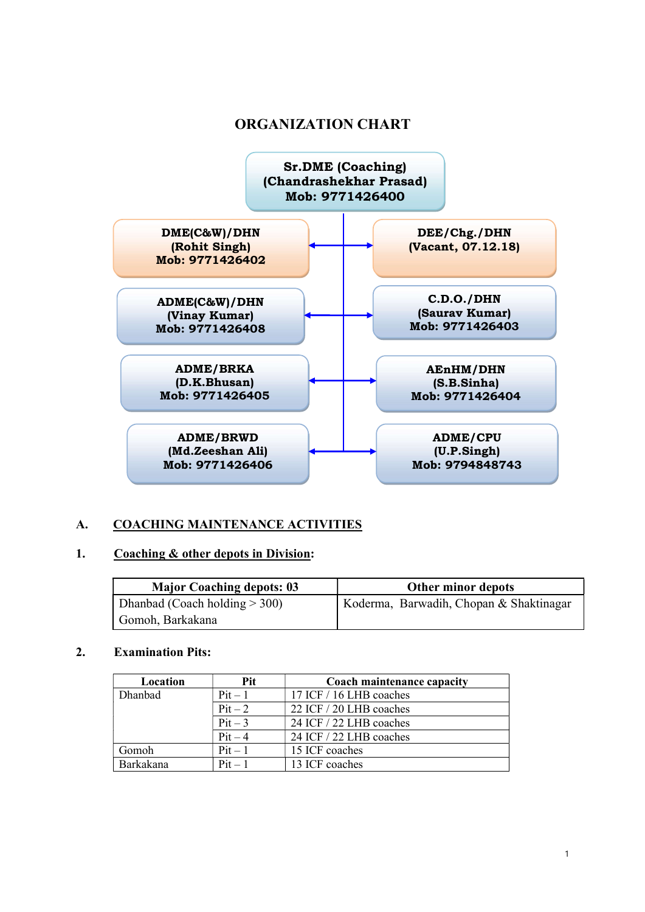## ORGANIZATION CHART



### A. COACHING MAINTENANCE ACTIVITIES

#### 1. Coaching & other depots in Division:

| <b>Major Coaching depots: 03</b> | Other minor depots                      |
|----------------------------------|-----------------------------------------|
| Dhanbad (Coach holding $>$ 300)  | Koderma, Barwadih, Chopan & Shaktinagar |
| Gomoh, Barkakana                 |                                         |

#### 2. Examination Pits:

| Location  | Pit       | Coach maintenance capacity |
|-----------|-----------|----------------------------|
| Dhanbad   | $Pit-1$   | 17 ICF / 16 LHB coaches    |
|           | $Pit-2$   | 22 ICF / 20 LHB coaches    |
|           | $Pit-3$   | 24 ICF / 22 LHB coaches    |
|           | $Pit-4$   | 24 ICF / 22 LHB coaches    |
| Gomoh     | $Pit-1$   | 15 ICF coaches             |
| Barkakana | $Pit - 1$ | 13 ICF coaches             |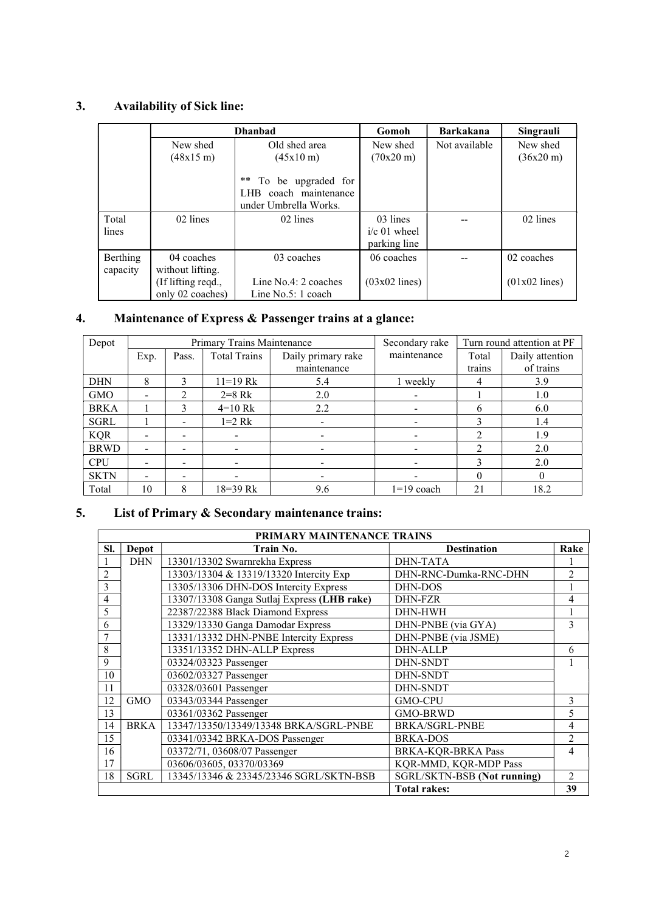## 3. Availability of Sick line:

|          |                    | <b>Dhanbad</b>                                                                    | Gomoh               | <b>Barkakana</b> | Singrauli           |
|----------|--------------------|-----------------------------------------------------------------------------------|---------------------|------------------|---------------------|
|          | New shed           | Old shed area                                                                     | New shed            | Not available    | New shed            |
|          | (48x15 m)          | $(45x10 \text{ m})$                                                               | $(70x20 \text{ m})$ |                  | $(36x20 \text{ m})$ |
|          |                    | $***$<br>To be upgraded for<br>coach maintenance<br>LHB.<br>under Umbrella Works. |                     |                  |                     |
| Total    | 02 lines           | 02 lines                                                                          | 03 lines            |                  | 02 lines            |
| lines    |                    |                                                                                   | $i/c$ 01 wheel      |                  |                     |
|          |                    |                                                                                   | parking line        |                  |                     |
| Berthing | 04 coaches         | 03 coaches                                                                        | 06 coaches          |                  | 02 coaches          |
| capacity | without lifting.   |                                                                                   |                     |                  |                     |
|          | (If lifting reqd., | Line $No.4:2 coaches$                                                             | $(03x02$ lines)     |                  | $(01x02$ lines)     |
|          | only 02 coaches)   | Line $No.5:1 coach$                                                               |                     |                  |                     |

## 4. Maintenance of Express & Passenger trains at a glance:

| Depot       | Primary Trains Maintenance |                               |                          |                    | Secondary rake |                | Turn round attention at PF |
|-------------|----------------------------|-------------------------------|--------------------------|--------------------|----------------|----------------|----------------------------|
|             | Exp.                       | Pass.                         | <b>Total Trains</b>      | Daily primary rake | maintenance    | Total          | Daily attention            |
|             |                            |                               |                          | maintenance        |                | trains         | of trains                  |
| <b>DHN</b>  | 8                          | 3                             | $11 = 19$ Rk             | 5.4                | 1 weekly       | 4              | 3.9                        |
| <b>GMO</b>  |                            | $\mathfrak{D}_{\mathfrak{p}}$ | $2 = 8$ Rk               | 2.0                |                |                | 1.0                        |
| <b>BRKA</b> |                            | 3                             | $4=10$ Rk                | 2.2                |                | 6              | 6.0                        |
| <b>SGRL</b> |                            | -                             | $1=2$ Rk                 |                    |                | 3              | 1.4                        |
| <b>KQR</b>  |                            | -                             | $\overline{\phantom{a}}$ |                    |                | $\mathfrak{D}$ | 1.9                        |
| <b>BRWD</b> |                            | -                             |                          |                    |                | $\mathfrak{D}$ | 2.0                        |
| <b>CPU</b>  |                            | ۰                             |                          |                    |                | 3              | 2.0                        |
| <b>SKTN</b> |                            | -                             |                          |                    |                | 0              | $\Omega$                   |
| Total       | 10                         | 8                             | $18 = 39$ Rk             | 9.6                | $1=19$ coach   | 21             | 18.2                       |

# 5. List of Primary & Secondary maintenance trains:

|                | <b>PRIMARY MAINTENANCE TRAINS</b> |                                             |                             |                |  |  |  |
|----------------|-----------------------------------|---------------------------------------------|-----------------------------|----------------|--|--|--|
| SI.            | <b>Depot</b>                      | Train No.                                   | <b>Destination</b>          | Rake           |  |  |  |
|                | <b>DHN</b>                        | 13301/13302 Swarnrekha Express              | <b>DHN-TATA</b>             |                |  |  |  |
| $\overline{2}$ |                                   | 13303/13304 & 13319/13320 Intercity Exp     | DHN-RNC-Dumka-RNC-DHN       | $\overline{c}$ |  |  |  |
| 3              |                                   | 13305/13306 DHN-DOS Intercity Express       | DHN-DOS                     |                |  |  |  |
| 4              |                                   | 13307/13308 Ganga Sutlaj Express (LHB rake) | <b>DHN-FZR</b>              | 4              |  |  |  |
| 5              |                                   | 22387/22388 Black Diamond Express           | DHN-HWH                     |                |  |  |  |
| 6              |                                   | 13329/13330 Ganga Damodar Express           | DHN-PNBE (via GYA)          | 3              |  |  |  |
|                |                                   | 13331/13332 DHN-PNBE Intercity Express      | DHN-PNBE (via JSME)         |                |  |  |  |
| 8              |                                   | 13351/13352 DHN-ALLP Express                | <b>DHN-ALLP</b>             | 6              |  |  |  |
| 9              |                                   | 03324/03323 Passenger                       | <b>DHN-SNDT</b>             |                |  |  |  |
| 10             |                                   | 03602/03327 Passenger                       | <b>DHN-SNDT</b>             |                |  |  |  |
| 11             |                                   | 03328/03601 Passenger                       | <b>DHN-SNDT</b>             |                |  |  |  |
| 12             | <b>GMO</b>                        | 03343/03344 Passenger                       | <b>GMO-CPU</b>              | 3              |  |  |  |
| 13             |                                   | 03361/03362 Passenger                       | <b>GMO-BRWD</b>             | 5              |  |  |  |
| 14             | <b>BRKA</b>                       | 13347/13350/13349/13348 BRKA/SGRL-PNBE      | <b>BRKA/SGRL-PNBE</b>       | 4              |  |  |  |
| 15             |                                   | 03341/03342 BRKA-DOS Passenger              | BRKA-DOS                    | $\overline{2}$ |  |  |  |
| 16             |                                   | 03372/71, 03608/07 Passenger                | <b>BRKA-KQR-BRKA Pass</b>   | 4              |  |  |  |
| 17             |                                   | 03606/03605, 03370/03369                    | KQR-MMD, KQR-MDP Pass       |                |  |  |  |
| 18             | <b>SGRL</b>                       | 13345/13346 & 23345/23346 SGRL/SKTN-BSB     | SGRL/SKTN-BSB (Not running) | 2              |  |  |  |
|                |                                   |                                             | <b>Total rakes:</b>         | 39             |  |  |  |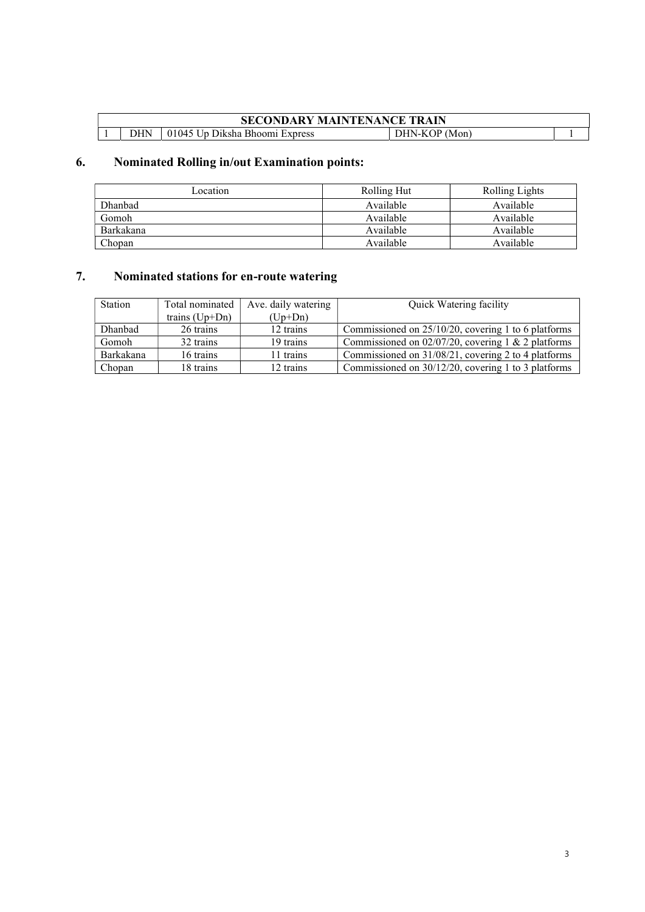#### SECONDARY MAINTENANCE TRAIN 1 DHN 01045 Up Diksha Bhoomi Express DHN-KOP (Mon) 1

## 6. Nominated Rolling in/out Examination points:

| Location     | Rolling Hut | Rolling Lights |
|--------------|-------------|----------------|
| Dhanbad      | Available   | Available      |
| <b>Gomoh</b> | Available   | Available      |
| Barkakana    | Available   | Available      |
| Chopan       | Available   | Available      |

## 7. Nominated stations for en-route watering

| Station   | Total nominated<br>Ave. daily watering |           | Quick Watering facility                                |  |
|-----------|----------------------------------------|-----------|--------------------------------------------------------|--|
|           | trains $(Up+Dn)$                       | $(Up+Dn)$ |                                                        |  |
| Dhanbad   | 26 trains                              | 12 trains | Commissioned on $25/10/20$ , covering 1 to 6 platforms |  |
| Gomoh     | 32 trains                              | 19 trains | Commissioned on $02/07/20$ , covering 1 & 2 platforms  |  |
| Barkakana | 16 trains                              | 11 trains | Commissioned on 31/08/21, covering 2 to 4 platforms    |  |
| Chopan    | 18 trains                              | 12 trains | Commissioned on 30/12/20, covering 1 to 3 platforms    |  |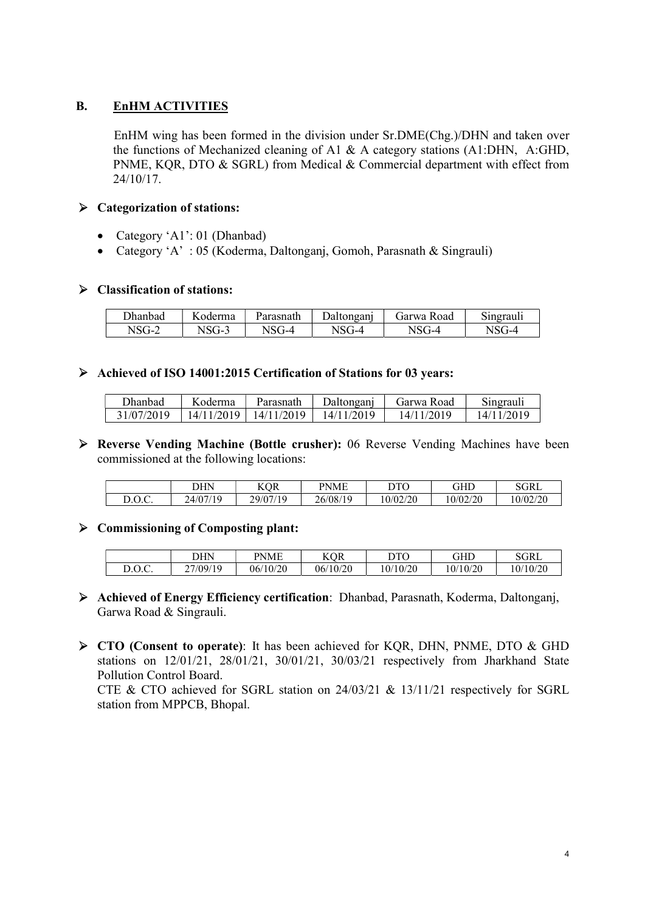#### **B.** EnHM ACTIVITIES

 EnHM wing has been formed in the division under Sr.DME(Chg.)/DHN and taken over the functions of Mechanized cleaning of A1 & A category stations (A1:DHN, A:GHD, PNME, KQR, DTO & SGRL) from Medical & Commercial department with effect from 24/10/17.

#### $\triangleright$  Categorization of stations:

- Category 'A1': 01 (Dhanbad)
- Category 'A' : 05 (Koderma, Daltonganj, Gomoh, Parasnath & Singrauli)

#### $\triangleright$  Classification of stations:

| Jhanbad | $\sim$ $\sim$<br>oderma | Parasnath | ngani | Jarwa<br>oad<br>к | ~·<br>11220211<br><b>Singrauli</b> |
|---------|-------------------------|-----------|-------|-------------------|------------------------------------|
| N.      | $T -$<br>N<br>$\sim$    | т–⊿       |       | т-4<br>◝          | т-4                                |

#### Achieved of ISO 14001:2015 Certification of Stations for 03 years:

| Dhanbad    | K oderma   | Parasnath  | Daltonganj | Garwa Road | Singrauli |
|------------|------------|------------|------------|------------|-----------|
| 31/07/2019 | 14/11/2019 | 14/11/2019 | 14/11/2019 | 14/11/2019 | 4/11/2019 |

 Reverse Vending Machine (Bottle crusher): 06 Reverse Vending Machines have been commissioned at the following locations:

|                    | DHN      | <b>KOR</b> | PNME     | DTO     | GHD      | SGRL     |
|--------------------|----------|------------|----------|---------|----------|----------|
| ∩∩∩<br>$D.U.\cup.$ | 24/07/19 | 29/07/19   | 26/08/19 | 0/02/20 | 10/02/20 | 10/02/20 |

#### $\triangleright$  Commissioning of Composting plant:

|                                         | DHN      | PNME     | KOR      | DTO      | GHD     | SGRL     |
|-----------------------------------------|----------|----------|----------|----------|---------|----------|
| $\overline{D}$ $\overline{C}$<br>D.U.v. | 27/09/19 | 06/10/20 | 06/10/20 | 10/10/20 | 0/10/20 | 10/10/20 |

- Achieved of Energy Efficiency certification: Dhanbad, Parasnath, Koderma, Daltonganj, Garwa Road & Singrauli.
- ▶ CTO (Consent to operate): It has been achieved for KOR, DHN, PNME, DTO & GHD stations on 12/01/21, 28/01/21, 30/01/21, 30/03/21 respectively from Jharkhand State Pollution Control Board.

CTE & CTO achieved for SGRL station on 24/03/21 & 13/11/21 respectively for SGRL station from MPPCB, Bhopal.